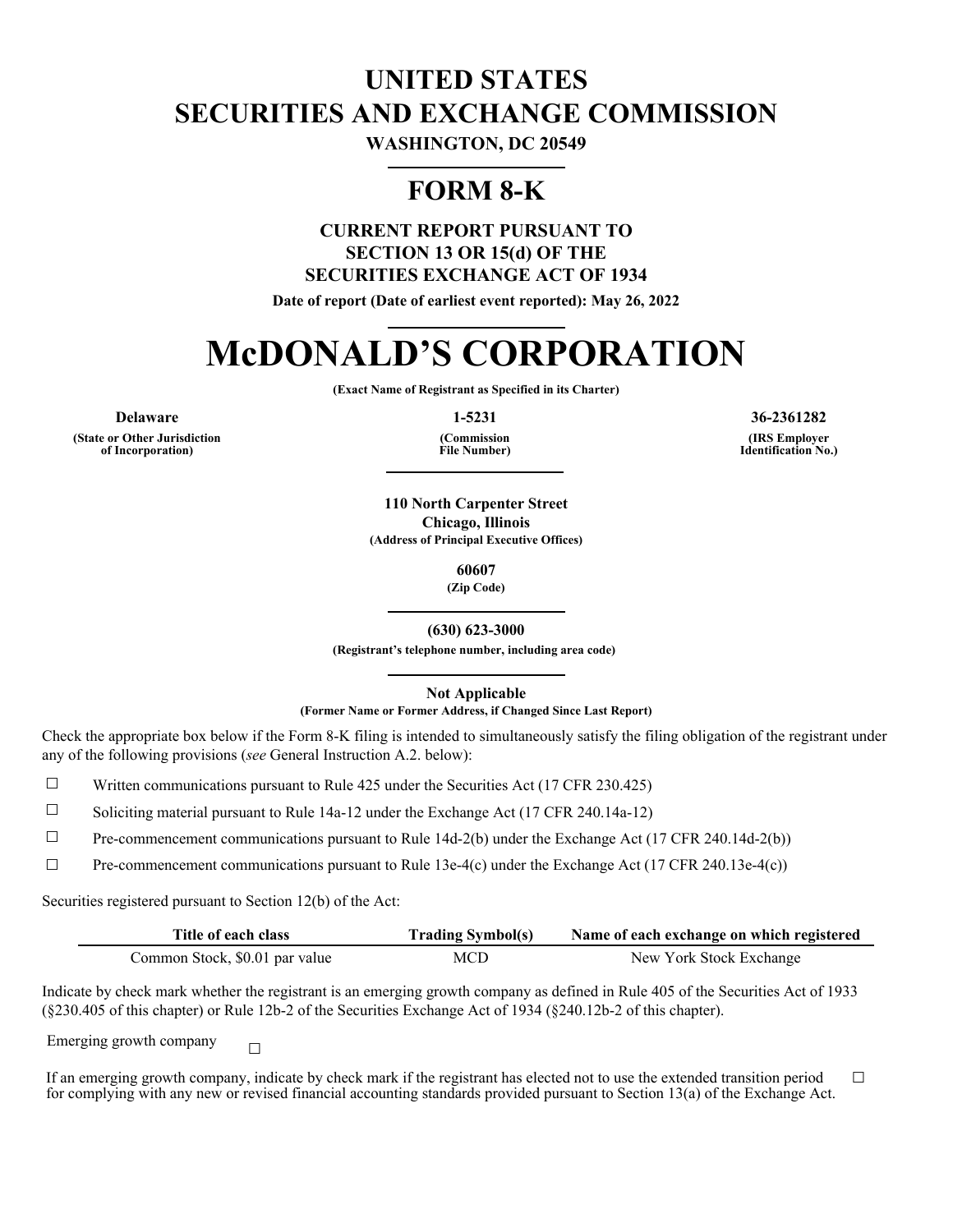## **UNITED STATES SECURITIES AND EXCHANGE COMMISSION**

**WASHINGTON, DC 20549**

### **FORM 8-K**

### **CURRENT REPORT PURSUANT TO SECTION 13 OR 15(d) OF THE SECURITIES EXCHANGE ACT OF 1934**

**Date of report (Date of earliest event reported): May 26, 2022**

# **McDONALD'S CORPORATION**

**(Exact Name of Registrant as Specified in its Charter)**

**(State or Other Jurisdiction of Incorporation)**

**(Commission File Number)**

**Delaware 1-5231 36-2361282**

**(IRS Employer Identification No.)**

**110 North Carpenter Street Chicago, Illinois (Address of Principal Executive Offices)**

**60607**

**(Zip Code)**

**(630) 623-3000**

**(Registrant's telephone number, including area code)**

**Not Applicable**

**(Former Name or Former Address, if Changed Since Last Report)**

Check the appropriate box below if the Form 8-K filing is intended to simultaneously satisfy the filing obligation of the registrant under any of the following provisions (*see* General Instruction A.2. below):

 $\Box$  Written communications pursuant to Rule 425 under the Securities Act (17 CFR 230.425)

☐ Soliciting material pursuant to Rule 14a-12 under the Exchange Act (17 CFR 240.14a-12)

 $\Box$  Pre-commencement communications pursuant to Rule 14d-2(b) under the Exchange Act (17 CFR 240.14d-2(b))

 $\Box$  Pre-commencement communications pursuant to Rule 13e-4(c) under the Exchange Act (17 CFR 240.13e-4(c))

Securities registered pursuant to Section 12(b) of the Act:

| Title of each class            | <b>Trading Symbol(s)</b> | Name of each exchange on which registered |
|--------------------------------|--------------------------|-------------------------------------------|
| Common Stock, \$0.01 par value | MCD                      | New York Stock Exchange                   |

Indicate by check mark whether the registrant is an emerging growth company as defined in Rule 405 of the Securities Act of 1933 (§230.405 of this chapter) or Rule 12b-2 of the Securities Exchange Act of 1934 (§240.12b-2 of this chapter).

Emerging growth company  $\Box$ 

If an emerging growth company, indicate by check mark if the registrant has elected not to use the extended transition period for complying with any new or revised financial accounting standards provided pursuant to Section 13(a) of the Exchange Act. ☐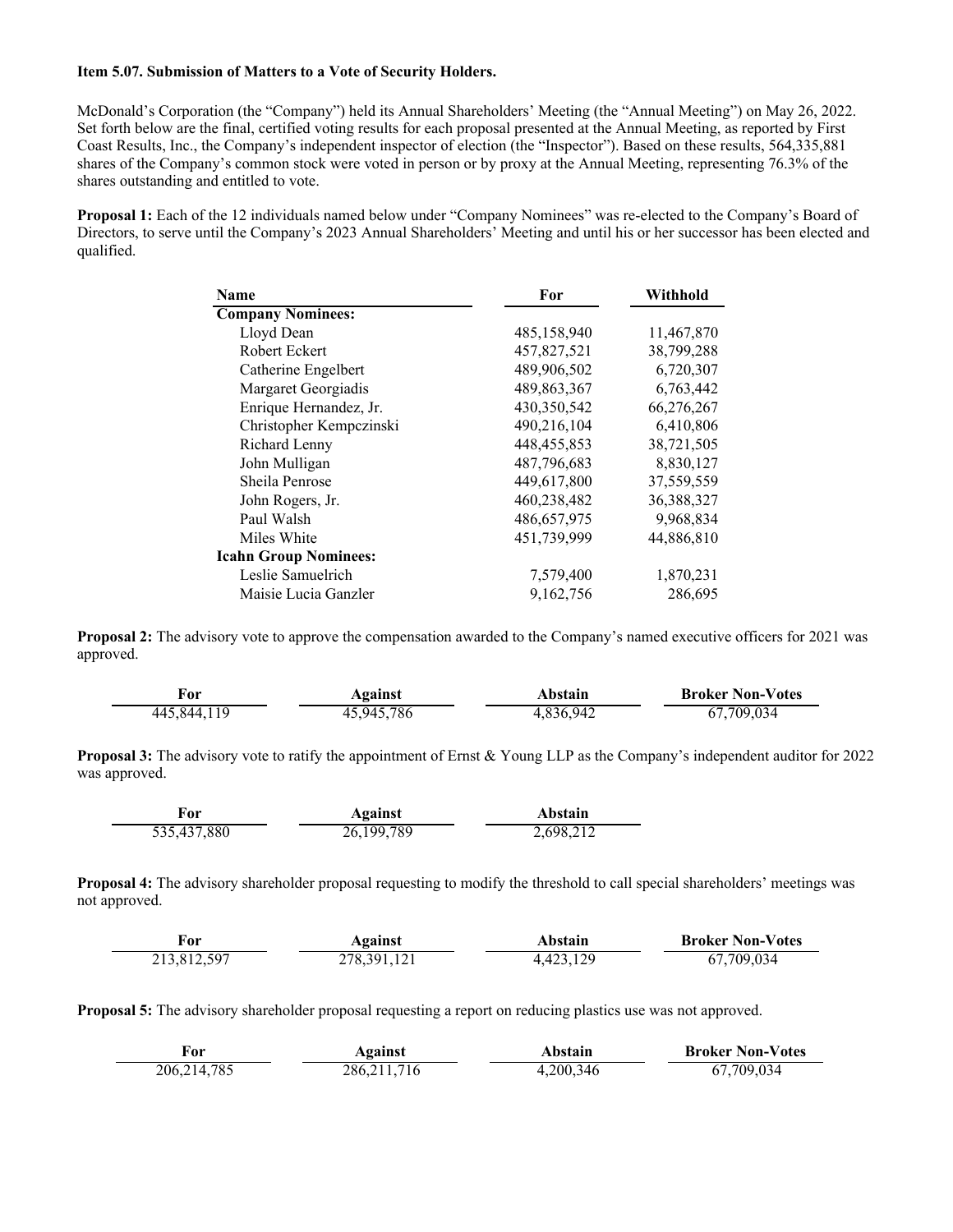### **Item 5.07. Submission of Matters to a Vote of Security Holders.**

McDonald's Corporation (the "Company") held its Annual Shareholders' Meeting (the "Annual Meeting") on May 26, 2022. Set forth below are the final, certified voting results for each proposal presented at the Annual Meeting, as reported by First Coast Results, Inc., the Company's independent inspector of election (the "Inspector"). Based on these results, 564,335,881 shares of the Company's common stock were voted in person or by proxy at the Annual Meeting, representing 76.3% of the shares outstanding and entitled to vote.

Proposal 1: Each of the 12 individuals named below under "Company Nominees" was re-elected to the Company's Board of Directors, to serve until the Company's 2023 Annual Shareholders' Meeting and until his or her successor has been elected and qualified.

| <b>Name</b>                  | For           | Withhold   |
|------------------------------|---------------|------------|
| <b>Company Nominees:</b>     |               |            |
| Lloyd Dean                   | 485,158,940   | 11,467,870 |
| Robert Eckert                | 457,827,521   | 38,799,288 |
| Catherine Engelbert          | 489,906,502   | 6,720,307  |
| Margaret Georgiadis          | 489, 863, 367 | 6,763,442  |
| Enrique Hernandez, Jr.       | 430,350,542   | 66,276,267 |
| Christopher Kempczinski      | 490,216,104   | 6,410,806  |
| Richard Lenny                | 448, 455, 853 | 38,721,505 |
| John Mulligan                | 487,796,683   | 8,830,127  |
| Sheila Penrose               | 449,617,800   | 37,559,559 |
| John Rogers, Jr.             | 460,238,482   | 36,388,327 |
| Paul Walsh                   | 486,657,975   | 9,968,834  |
| Miles White                  | 451,739,999   | 44,886,810 |
| <b>Icahn Group Nominees:</b> |               |            |
| Leslie Samuelrich            | 7,579,400     | 1,870,231  |
| Maisie Lucia Ganzler         | 9,162,756     | 286,695    |

**Proposal 2:** The advisory vote to approve the compensation awarded to the Company's named executive officers for 2021 was approved.

| For         | Against    | Abstain   | <b>Broker Non-Votes</b> |
|-------------|------------|-----------|-------------------------|
| 445,844,119 | 45,945,786 | 4,836,942 | 67,709,034              |

**Proposal 3:** The advisory vote to ratify the appointment of Ernst & Young LLP as the Company's independent auditor for 2022 was approved.

| ror         | Against      | Abstain   |
|-------------|--------------|-----------|
| 535,437,880 | 26, 199, 789 | 2,698,212 |

**Proposal 4:** The advisory shareholder proposal requesting to modify the threshold to call special shareholders' meetings was not approved.

| r'or        | Against       | Abstain   | <b>Broker Non-Votes</b> |
|-------------|---------------|-----------|-------------------------|
| 213,812,597 | 278, 391, 121 | 4,423,129 | 67,709,034              |

**Proposal 5:** The advisory shareholder proposal requesting a report on reducing plastics use was not approved.

| r'or          | Against       | Abstain    | <b>Broker Non-Votes</b> |
|---------------|---------------|------------|-------------------------|
| 206, 214, 785 | 286, 211, 716 | , 200, 346 | 67,709,034              |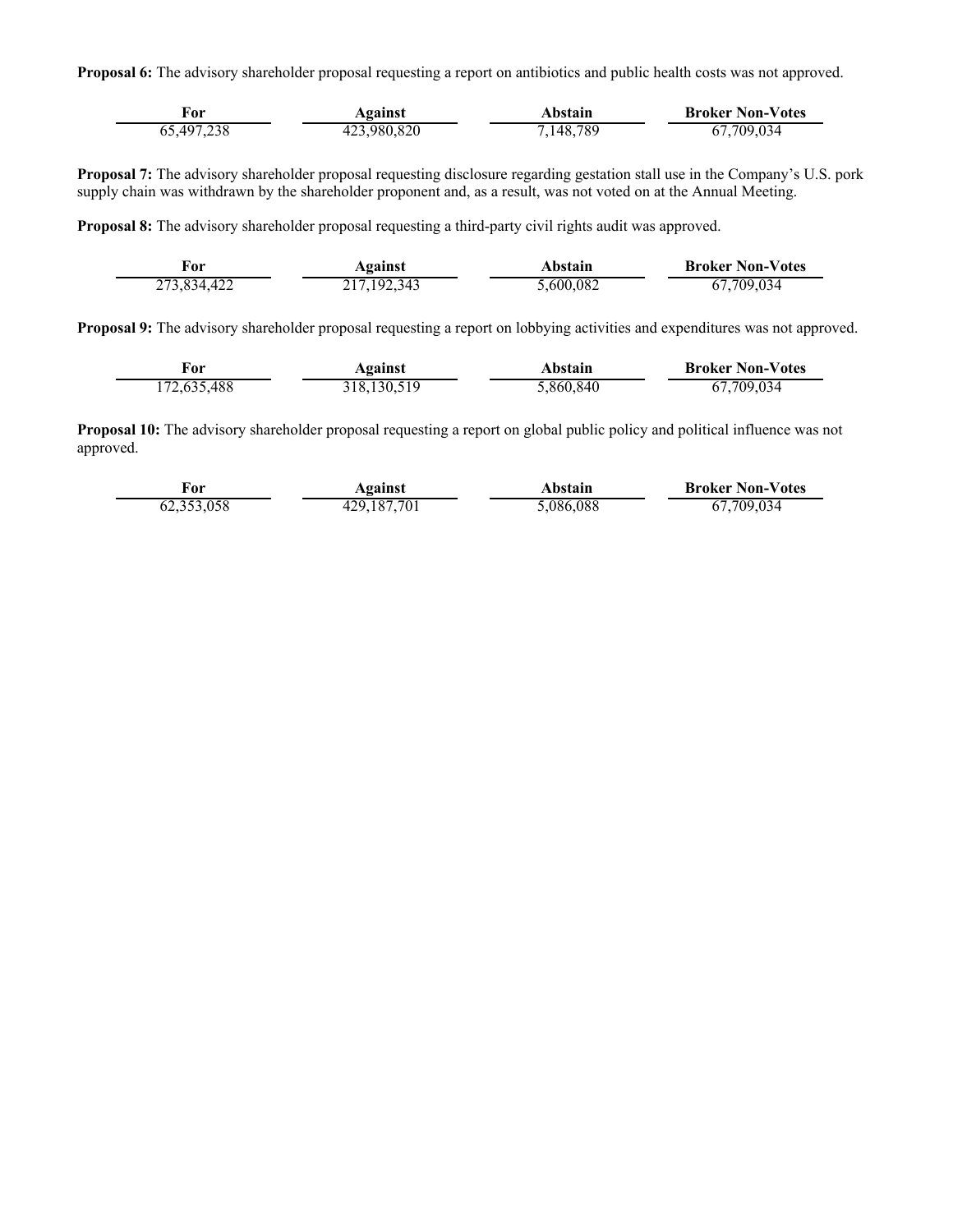**Proposal 6:** The advisory shareholder proposal requesting a report on antibiotics and public health costs was not approved.

| For        | Against     | Abstain   | <b>Broker Non-Votes</b> |
|------------|-------------|-----------|-------------------------|
| 65,497,238 | 423,980,820 | 7,148,789 | 67,709,034              |

**Proposal 7:** The advisory shareholder proposal requesting disclosure regarding gestation stall use in the Company's U.S. pork supply chain was withdrawn by the shareholder proponent and, as a result, was not voted on at the Annual Meeting.

**Proposal 8:** The advisory shareholder proposal requesting a third-party civil rights audit was approved.

| ror         | Against       | Abstain   | <b>Broker Non-Votes</b> |
|-------------|---------------|-----------|-------------------------|
| 273,834,422 | 217, 192, 343 | 5,600,082 | 67,709,034              |

**Proposal 9:** The advisory shareholder proposal requesting a report on lobbying activities and expenditures was not approved.

| ror         | Against       | Abstain   | <b>Broker Non-Votes</b> |
|-------------|---------------|-----------|-------------------------|
| 172,635,488 | 318, 130, 519 | 5,860,840 | 67,709,034              |

**Proposal 10:** The advisory shareholder proposal requesting a report on global public policy and political influence was not approved.

| ror     | Against     | Abstain  | <b>Broker Non-Votes</b> |
|---------|-------------|----------|-------------------------|
| 252.058 | -29.187.701 | .086.088 | 709.034<br>$\sigma$     |